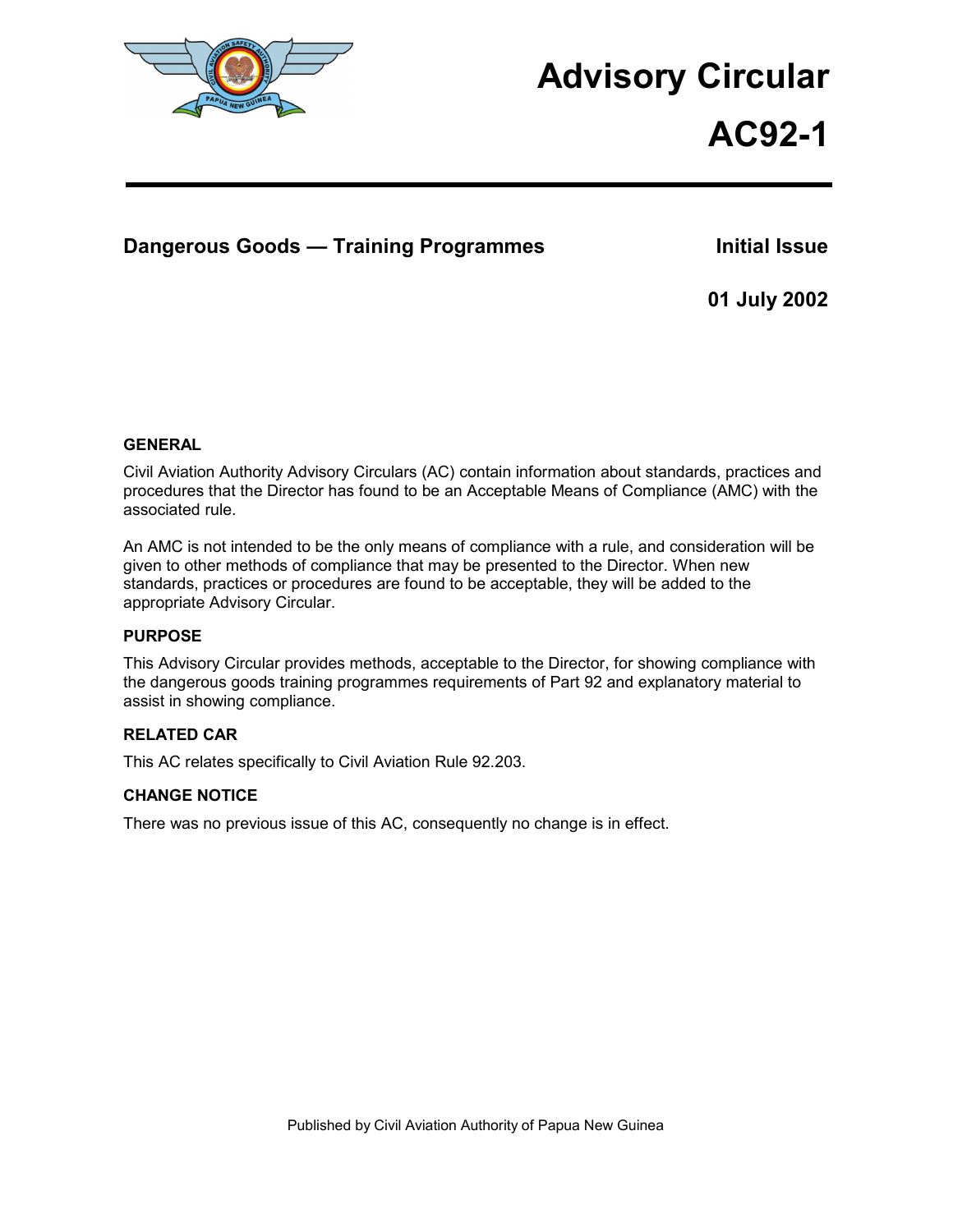

# **Advisory Circular**

# **AC92-1**

# **Dangerous Goods — Training Programmes Manufally Resument Cooley Finitial Issue**

**01 July 2002** 

#### **GENERAL**

Civil Aviation Authority Advisory Circulars (AC) contain information about standards, practices and procedures that the Director has found to be an Acceptable Means of Compliance (AMC) with the associated rule.

An AMC is not intended to be the only means of compliance with a rule, and consideration will be given to other methods of compliance that may be presented to the Director. When new standards, practices or procedures are found to be acceptable, they will be added to the appropriate Advisory Circular.

#### **PURPOSE**

This Advisory Circular provides methods, acceptable to the Director, for showing compliance with the dangerous goods training programmes requirements of Part 92 and explanatory material to assist in showing compliance.

#### **RELATED CAR**

This AC relates specifically to Civil Aviation Rule 92.203.

#### **CHANGE NOTICE**

There was no previous issue of this AC, consequently no change is in effect.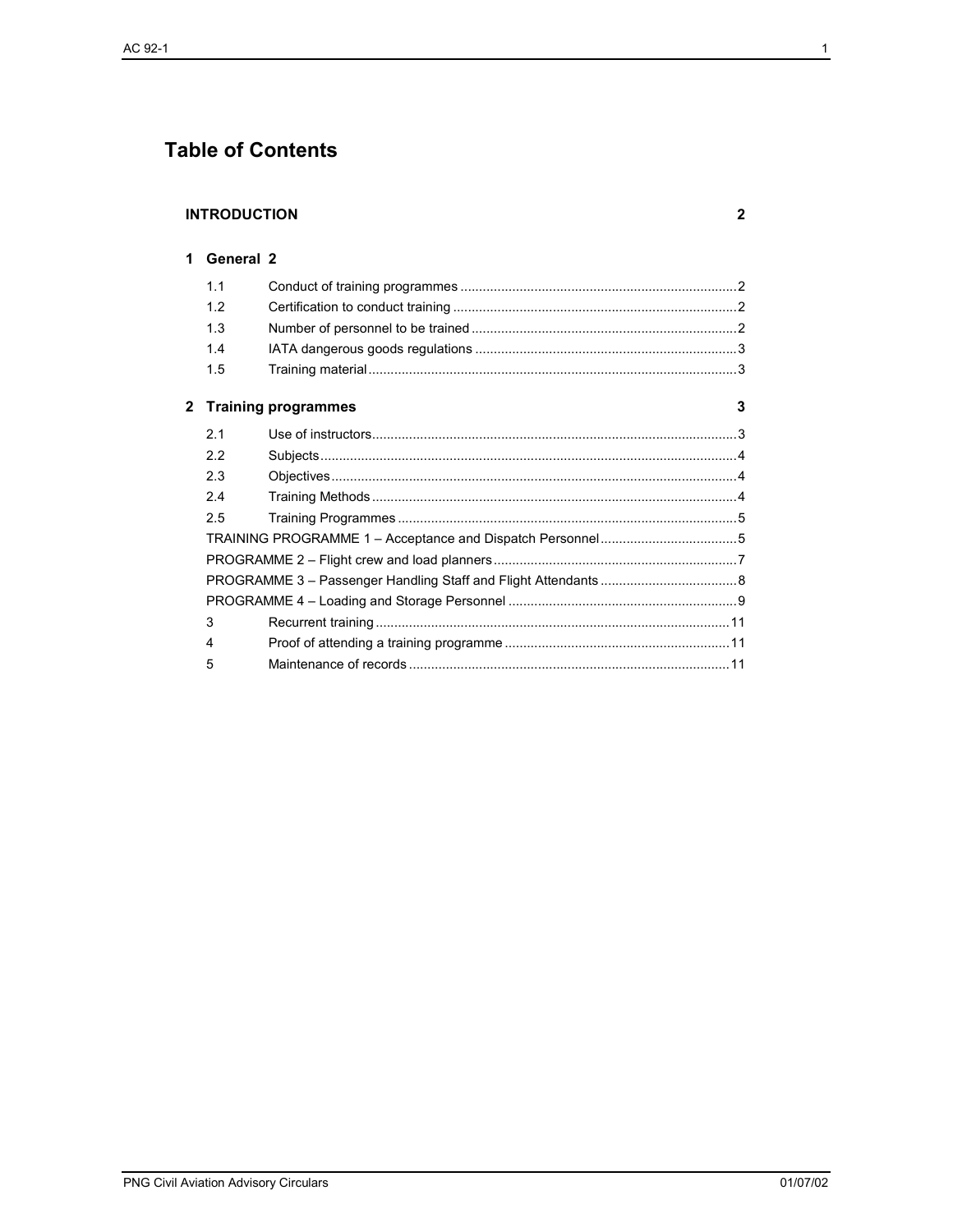# **Table of Contents**

#### **INTRODUCTION**

#### 1 General 2

|              | 1.1 |                            |   |
|--------------|-----|----------------------------|---|
|              | 1.2 |                            |   |
|              | 1.3 |                            |   |
|              | 1.4 |                            |   |
|              | 1.5 |                            |   |
| $\mathbf{2}$ |     | <b>Training programmes</b> | 3 |
|              | 2.1 |                            |   |
|              | 2.2 |                            |   |
|              | 2.3 |                            |   |
|              | 2.4 |                            |   |
|              | 2.5 |                            |   |
|              |     |                            |   |
|              |     |                            |   |
|              |     |                            |   |
|              |     |                            |   |
|              | 3   |                            |   |
|              | 4   |                            |   |
|              | 5   |                            |   |
|              |     |                            |   |

 $\mathbf{2}$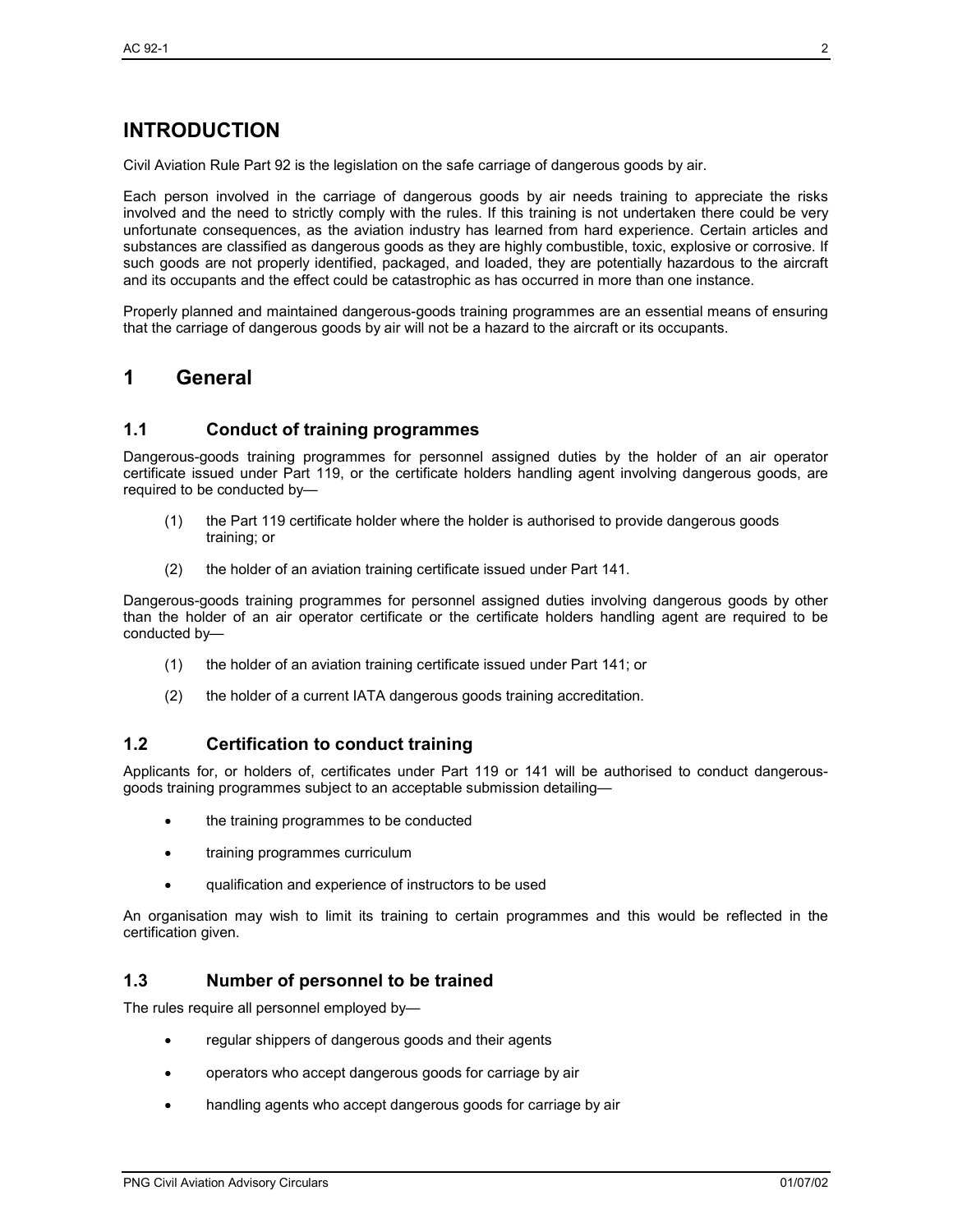# **INTRODUCTION**

Civil Aviation Rule Part 92 is the legislation on the safe carriage of dangerous goods by air.

Each person involved in the carriage of dangerous goods by air needs training to appreciate the risks involved and the need to strictly comply with the rules. If this training is not undertaken there could be very unfortunate consequences, as the aviation industry has learned from hard experience. Certain articles and substances are classified as dangerous goods as they are highly combustible, toxic, explosive or corrosive. If such goods are not properly identified, packaged, and loaded, they are potentially hazardous to the aircraft and its occupants and the effect could be catastrophic as has occurred in more than one instance.

Properly planned and maintained dangerous-goods training programmes are an essential means of ensuring that the carriage of dangerous goods by air will not be a hazard to the aircraft or its occupants.

# **1 General**

#### **1.1 Conduct of training programmes**

Dangerous-goods training programmes for personnel assigned duties by the holder of an air operator certificate issued under Part 119, or the certificate holders handling agent involving dangerous goods, are required to be conducted by—

- (1) the Part 119 certificate holder where the holder is authorised to provide dangerous goods training; or
- (2) the holder of an aviation training certificate issued under Part 141.

Dangerous-goods training programmes for personnel assigned duties involving dangerous goods by other than the holder of an air operator certificate or the certificate holders handling agent are required to be conducted by—

- (1) the holder of an aviation training certificate issued under Part 141; or
- (2) the holder of a current IATA dangerous goods training accreditation.

#### **1.2 Certification to conduct training**

Applicants for, or holders of, certificates under Part 119 or 141 will be authorised to conduct dangerousgoods training programmes subject to an acceptable submission detailing—

- the training programmes to be conducted
- training programmes curriculum
- qualification and experience of instructors to be used

An organisation may wish to limit its training to certain programmes and this would be reflected in the certification given.

#### **1.3 Number of personnel to be trained**

The rules require all personnel employed by—

- regular shippers of dangerous goods and their agents
- operators who accept dangerous goods for carriage by air
- handling agents who accept dangerous goods for carriage by air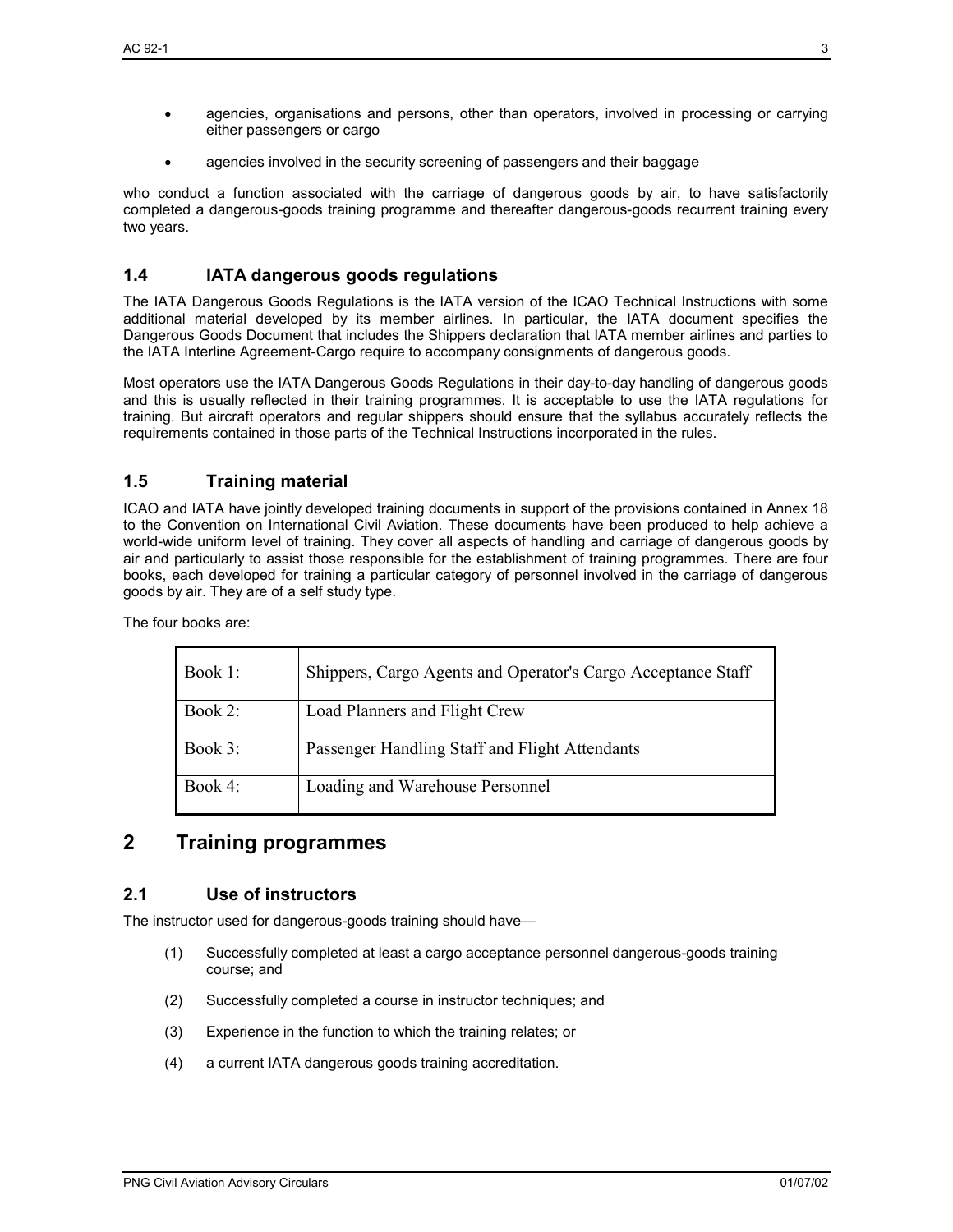- agencies, organisations and persons, other than operators, involved in processing or carrying either passengers or cargo
- agencies involved in the security screening of passengers and their baggage

who conduct a function associated with the carriage of dangerous goods by air, to have satisfactorily completed a dangerous-goods training programme and thereafter dangerous-goods recurrent training every two years.

# **1.4 IATA dangerous goods regulations**

The IATA Dangerous Goods Regulations is the IATA version of the ICAO Technical Instructions with some additional material developed by its member airlines. In particular, the IATA document specifies the Dangerous Goods Document that includes the Shippers declaration that IATA member airlines and parties to the IATA Interline Agreement-Cargo require to accompany consignments of dangerous goods.

Most operators use the IATA Dangerous Goods Regulations in their day-to-day handling of dangerous goods and this is usually reflected in their training programmes. It is acceptable to use the IATA regulations for training. But aircraft operators and regular shippers should ensure that the syllabus accurately reflects the requirements contained in those parts of the Technical Instructions incorporated in the rules.

# **1.5 Training material**

ICAO and IATA have jointly developed training documents in support of the provisions contained in Annex 18 to the Convention on International Civil Aviation. These documents have been produced to help achieve a world-wide uniform level of training. They cover all aspects of handling and carriage of dangerous goods by air and particularly to assist those responsible for the establishment of training programmes. There are four books, each developed for training a particular category of personnel involved in the carriage of dangerous goods by air. They are of a self study type.

The four books are:

| Book 1: | Shippers, Cargo Agents and Operator's Cargo Acceptance Staff |
|---------|--------------------------------------------------------------|
| Book 2: | Load Planners and Flight Crew                                |
| Book 3: | Passenger Handling Staff and Flight Attendants               |
| Book 4: | Loading and Warehouse Personnel                              |

# **2 Training programmes**

#### **2.1 Use of instructors**

The instructor used for dangerous-goods training should have—

- (1) Successfully completed at least a cargo acceptance personnel dangerous-goods training course; and
- (2) Successfully completed a course in instructor techniques; and
- (3) Experience in the function to which the training relates; or
- (4) a current IATA dangerous goods training accreditation.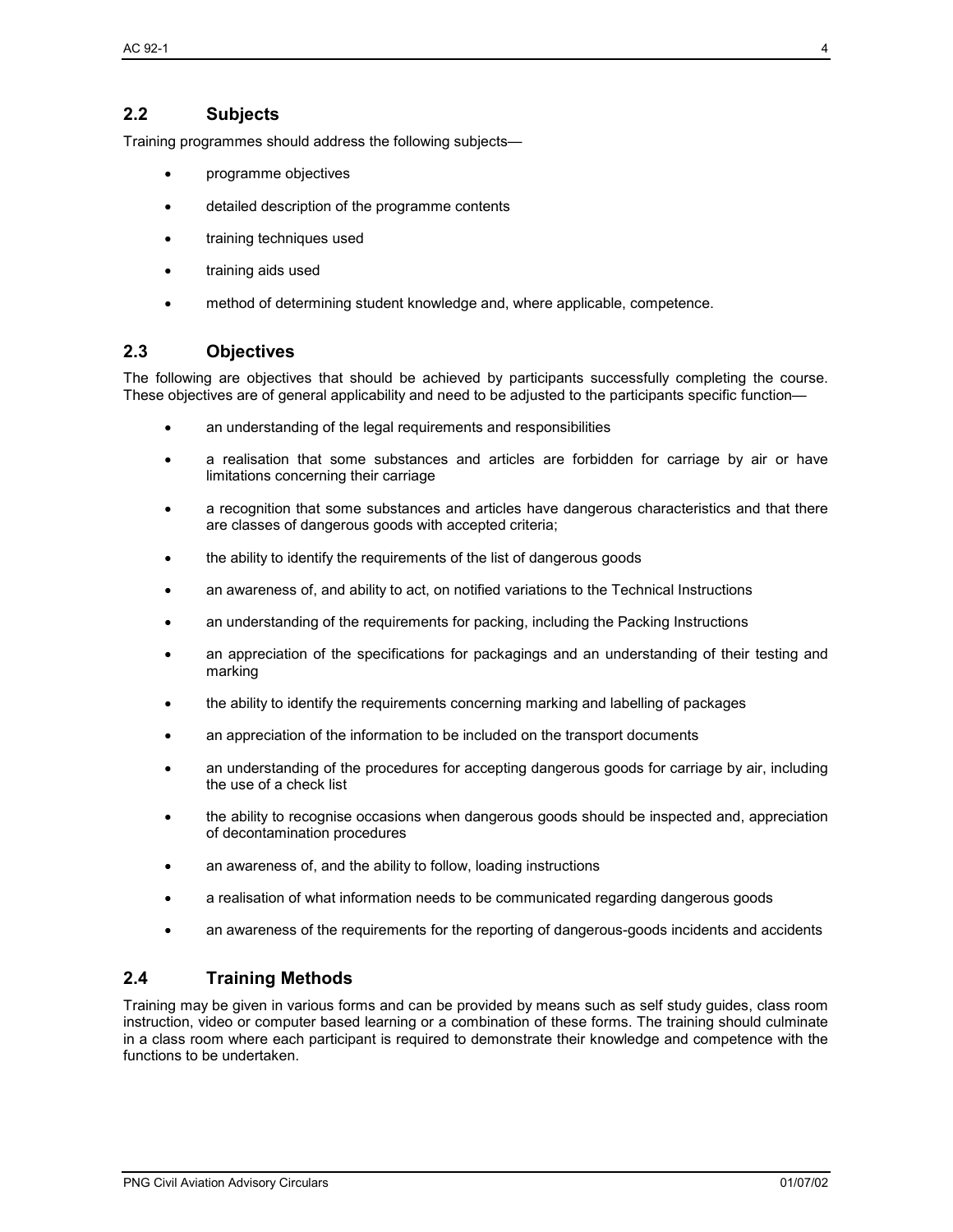# **2.2 Subjects**

Training programmes should address the following subjects—

- programme objectives
- detailed description of the programme contents
- training techniques used
- training aids used
- method of determining student knowledge and, where applicable, competence.

# **2.3 Objectives**

The following are objectives that should be achieved by participants successfully completing the course. These objectives are of general applicability and need to be adjusted to the participants specific function—

- an understanding of the legal requirements and responsibilities
- a realisation that some substances and articles are forbidden for carriage by air or have limitations concerning their carriage
- a recognition that some substances and articles have dangerous characteristics and that there are classes of dangerous goods with accepted criteria;
- the ability to identify the requirements of the list of dangerous goods
- an awareness of, and ability to act, on notified variations to the Technical Instructions
- an understanding of the requirements for packing, including the Packing Instructions
- an appreciation of the specifications for packagings and an understanding of their testing and marking
- the ability to identify the requirements concerning marking and labelling of packages
- an appreciation of the information to be included on the transport documents
- an understanding of the procedures for accepting dangerous goods for carriage by air, including the use of a check list
- the ability to recognise occasions when dangerous goods should be inspected and, appreciation of decontamination procedures
- an awareness of, and the ability to follow, loading instructions
- a realisation of what information needs to be communicated regarding dangerous goods
- an awareness of the requirements for the reporting of dangerous-goods incidents and accidents

#### **2.4 Training Methods**

Training may be given in various forms and can be provided by means such as self study guides, class room instruction, video or computer based learning or a combination of these forms. The training should culminate in a class room where each participant is required to demonstrate their knowledge and competence with the functions to be undertaken.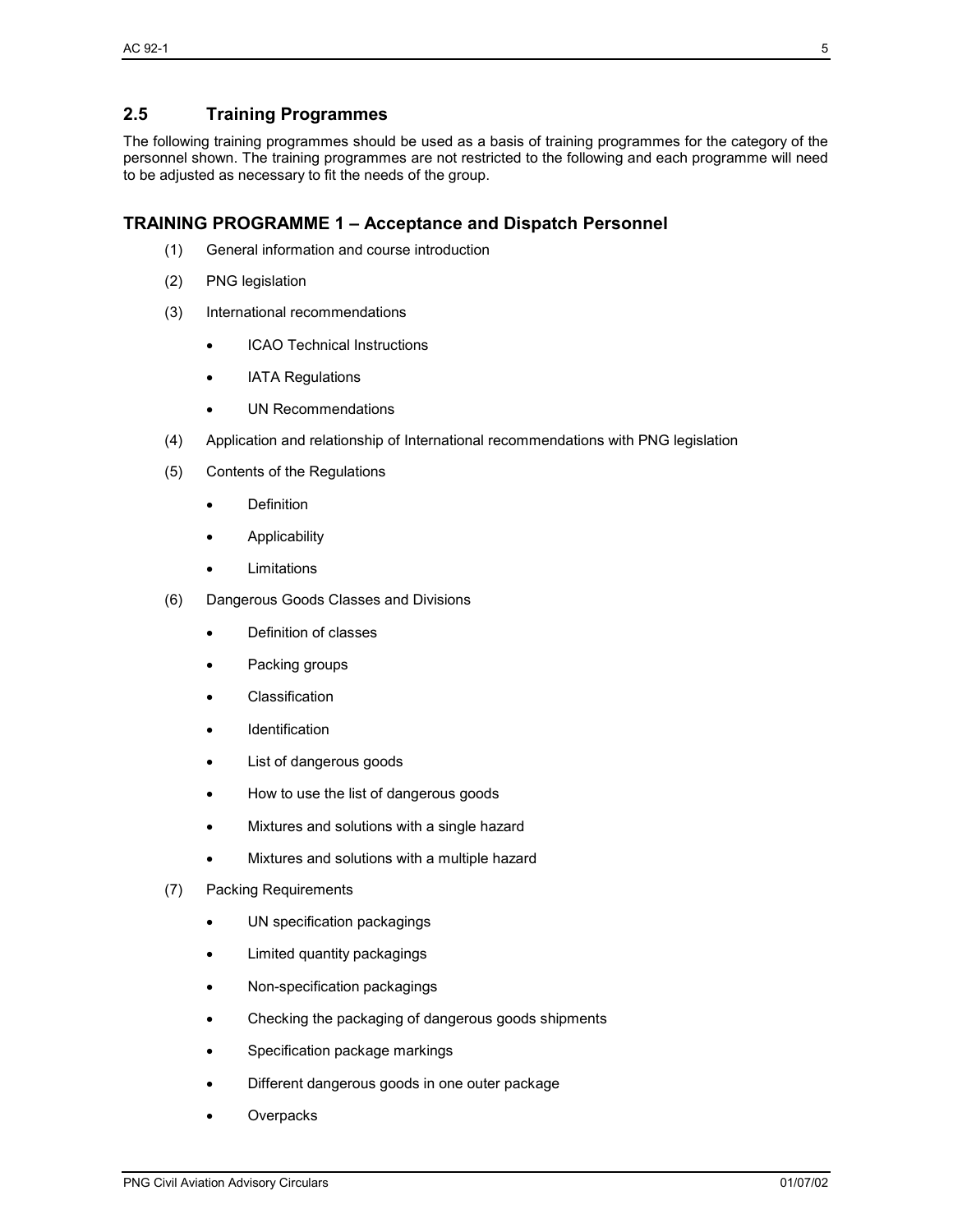# **2.5 Training Programmes**

The following training programmes should be used as a basis of training programmes for the category of the personnel shown. The training programmes are not restricted to the following and each programme will need to be adjusted as necessary to fit the needs of the group.

#### **TRAINING PROGRAMME 1 – Acceptance and Dispatch Personnel**

- (1) General information and course introduction
- (2) PNG legislation
- (3) International recommendations
	- ICAO Technical Instructions
	- **IATA Regulations**
	- UN Recommendations
- (4) Application and relationship of International recommendations with PNG legislation
- (5) Contents of the Regulations
	- Definition
	- Applicability
	- Limitations
- (6) Dangerous Goods Classes and Divisions
	- Definition of classes
	- Packing groups
	- **Classification**
	- **Identification**
	- List of dangerous goods
	- How to use the list of dangerous goods
	- Mixtures and solutions with a single hazard
	- Mixtures and solutions with a multiple hazard
- (7) Packing Requirements
	- UN specification packagings
	- Limited quantity packagings
	- Non-specification packagings
	- Checking the packaging of dangerous goods shipments
	- Specification package markings
	- Different dangerous goods in one outer package
	- **Overpacks**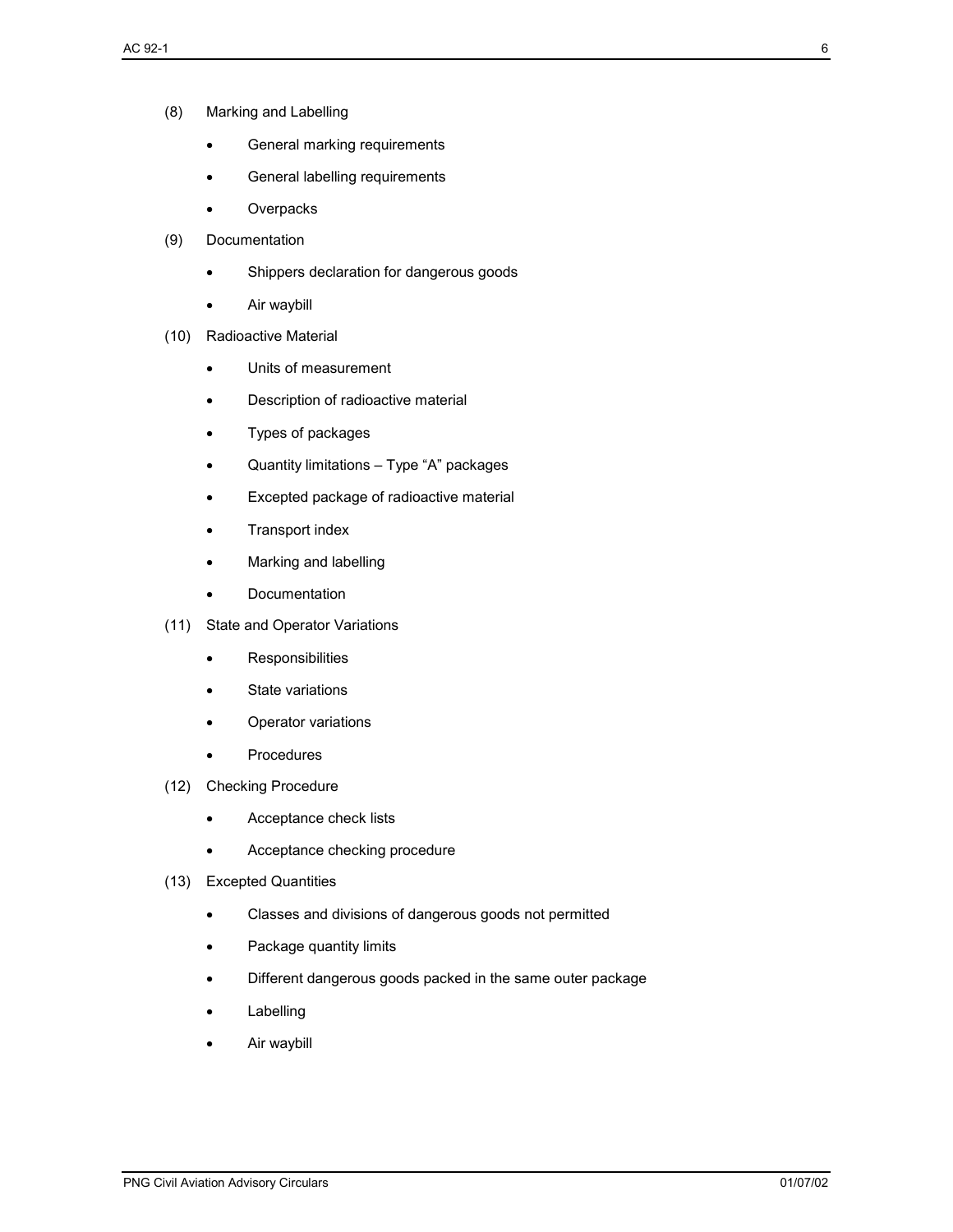- General marking requirements
- General labelling requirements
- Overpacks
- (9) Documentation
	- Shippers declaration for dangerous goods
	- Air waybill
- (10) Radioactive Material
	- Units of measurement
	- Description of radioactive material
	- Types of packages
	- Quantity limitations Type "A" packages
	- Excepted package of radioactive material
	- Transport index
	- Marking and labelling
	- Documentation
- (11) State and Operator Variations
	- Responsibilities
	- State variations
	- Operator variations
	- Procedures
- (12) Checking Procedure
	- Acceptance check lists
	- Acceptance checking procedure
- (13) Excepted Quantities
	- Classes and divisions of dangerous goods not permitted
	- Package quantity limits
	- Different dangerous goods packed in the same outer package
	- **Labelling**
	- Air waybill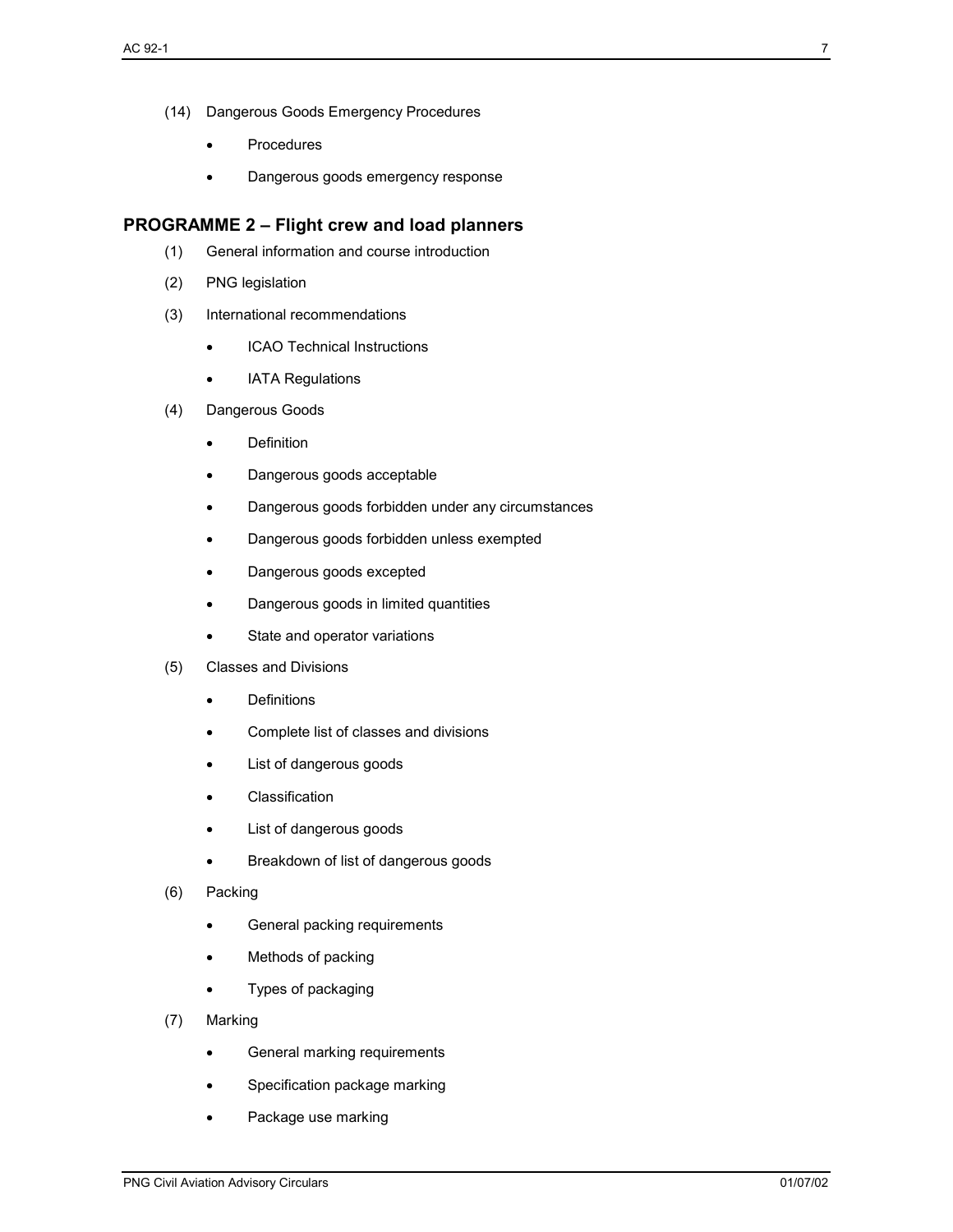- (14) Dangerous Goods Emergency Procedures
	- **Procedures**
	- Dangerous goods emergency response

#### **PROGRAMME 2 – Flight crew and load planners**

- (1) General information and course introduction
- (2) PNG legislation
- (3) International recommendations
	- ICAO Technical Instructions
	- IATA Regulations
- (4) Dangerous Goods
	- Definition
	- Dangerous goods acceptable
	- Dangerous goods forbidden under any circumstances
	- Dangerous goods forbidden unless exempted
	- Dangerous goods excepted
	- Dangerous goods in limited quantities
	- State and operator variations
- (5) Classes and Divisions
	- Definitions
	- Complete list of classes and divisions
	- List of dangerous goods
	- **Classification**
	- List of dangerous goods
	- Breakdown of list of dangerous goods
- (6) Packing
	- General packing requirements
	- Methods of packing
	- Types of packaging
- (7) Marking
	- General marking requirements
	- Specification package marking
	- Package use marking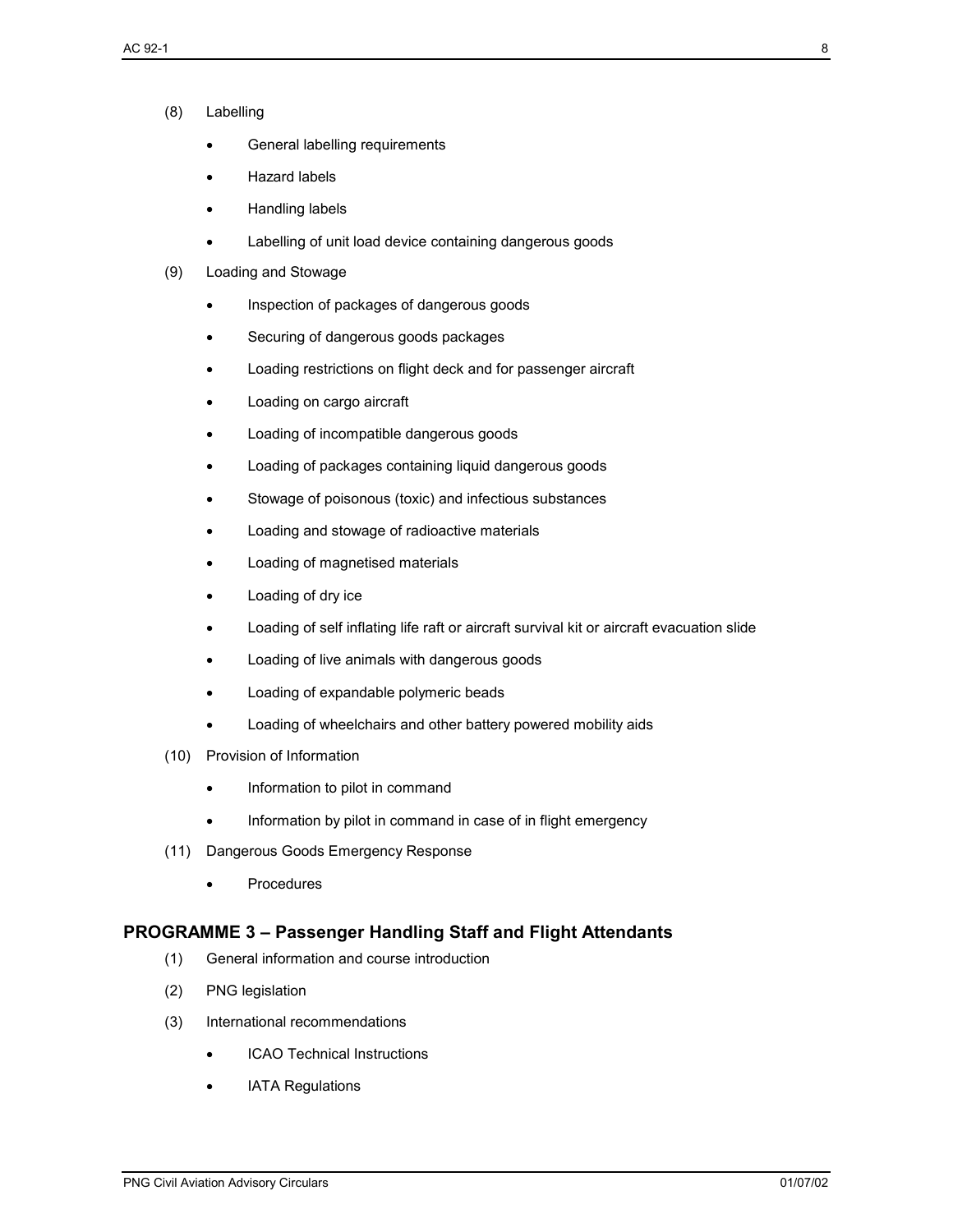- (8) Labelling
	- General labelling requirements
	- Hazard labels
	- Handling labels
	- Labelling of unit load device containing dangerous goods
- (9) Loading and Stowage
	- Inspection of packages of dangerous goods
	- Securing of dangerous goods packages
	- Loading restrictions on flight deck and for passenger aircraft
	- Loading on cargo aircraft
	- Loading of incompatible dangerous goods
	- Loading of packages containing liquid dangerous goods
	- Stowage of poisonous (toxic) and infectious substances
	- Loading and stowage of radioactive materials
	- Loading of magnetised materials
	- Loading of dry ice
	- Loading of self inflating life raft or aircraft survival kit or aircraft evacuation slide
	- Loading of live animals with dangerous goods
	- Loading of expandable polymeric beads
	- Loading of wheelchairs and other battery powered mobility aids
- (10) Provision of Information
	- Information to pilot in command
	- Information by pilot in command in case of in flight emergency
- (11) Dangerous Goods Emergency Response
	- Procedures

# **PROGRAMME 3 – Passenger Handling Staff and Flight Attendants**

- (1) General information and course introduction
- (2) PNG legislation
- (3) International recommendations
	- ICAO Technical Instructions
	- **IATA Regulations**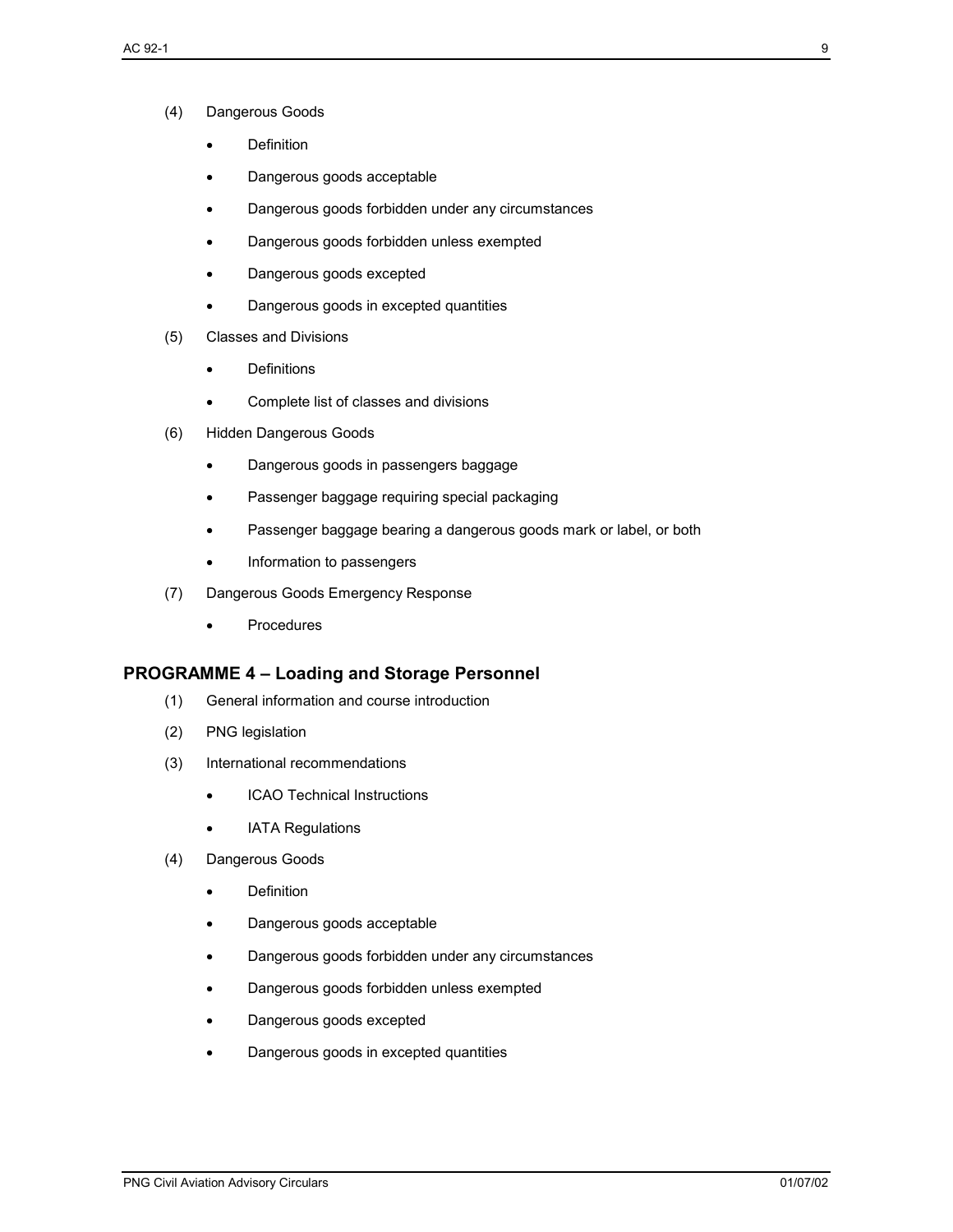- (4) Dangerous Goods
	- Definition
	- Dangerous goods acceptable
	- Dangerous goods forbidden under any circumstances
	- Dangerous goods forbidden unless exempted
	- Dangerous goods excepted
	- Dangerous goods in excepted quantities
- (5) Classes and Divisions
	- Definitions
	- Complete list of classes and divisions
- (6) Hidden Dangerous Goods
	- Dangerous goods in passengers baggage
	- Passenger baggage requiring special packaging
	- Passenger baggage bearing a dangerous goods mark or label, or both
	- Information to passengers
- (7) Dangerous Goods Emergency Response
	- Procedures

# **PROGRAMME 4 – Loading and Storage Personnel**

- (1) General information and course introduction
- (2) PNG legislation
- (3) International recommendations
	- ICAO Technical Instructions
	- IATA Regulations
- (4) Dangerous Goods
	- **Definition**
	- Dangerous goods acceptable
	- Dangerous goods forbidden under any circumstances
	- Dangerous goods forbidden unless exempted
	- Dangerous goods excepted
	- Dangerous goods in excepted quantities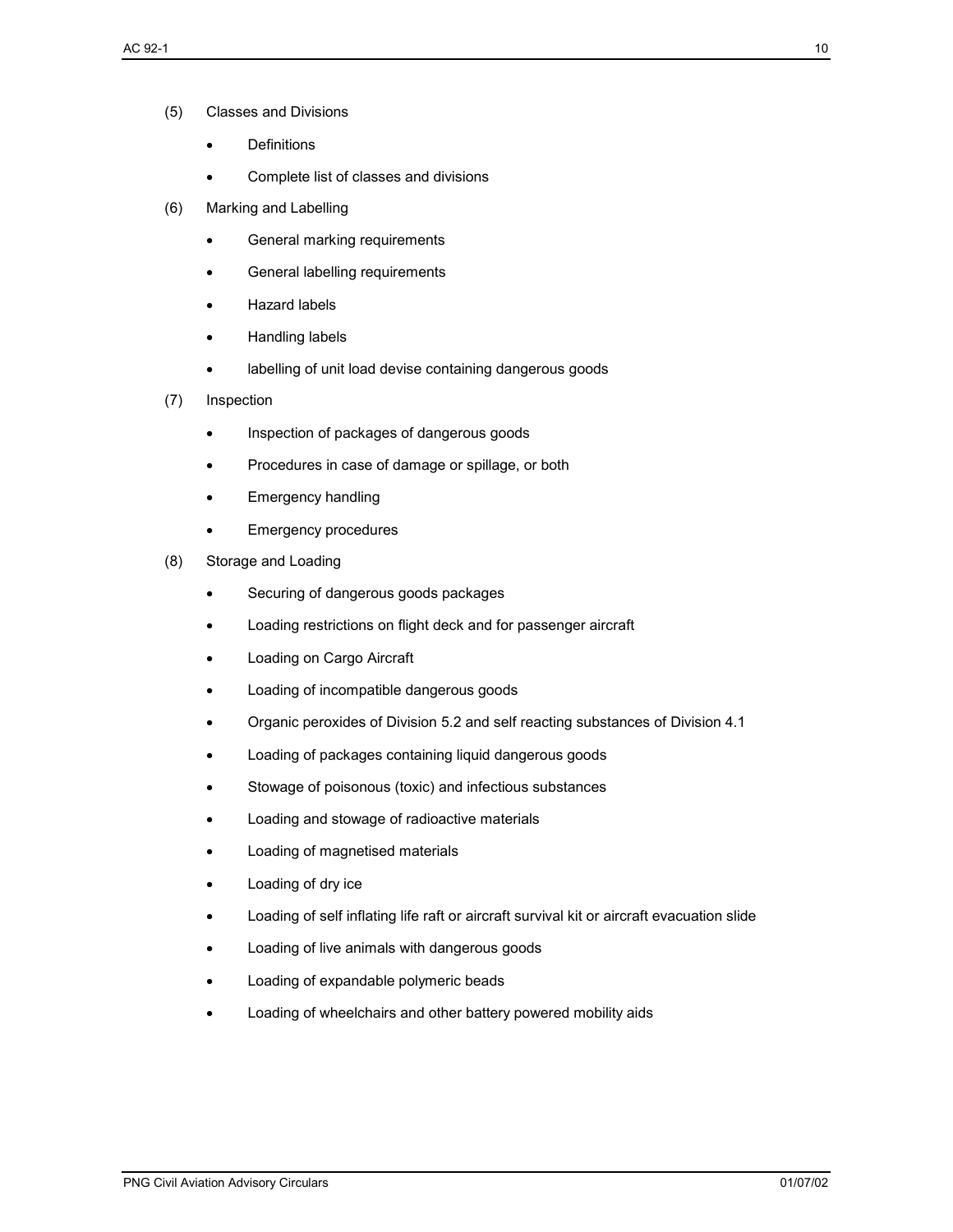- (5) Classes and Divisions
	- **Definitions**
	- Complete list of classes and divisions
- (6) Marking and Labelling
	- General marking requirements
	- General labelling requirements
	- Hazard labels
	- Handling labels
	- labelling of unit load devise containing dangerous goods
- (7) Inspection
	- Inspection of packages of dangerous goods
	- Procedures in case of damage or spillage, or both
	- Emergency handling
	- Emergency procedures
- (8) Storage and Loading
	- Securing of dangerous goods packages
	- Loading restrictions on flight deck and for passenger aircraft
	- Loading on Cargo Aircraft
	- Loading of incompatible dangerous goods
	- Organic peroxides of Division 5.2 and self reacting substances of Division 4.1
	- Loading of packages containing liquid dangerous goods
	- Stowage of poisonous (toxic) and infectious substances
	- Loading and stowage of radioactive materials
	- Loading of magnetised materials
	- Loading of dry ice
	- Loading of self inflating life raft or aircraft survival kit or aircraft evacuation slide
	- Loading of live animals with dangerous goods
	- Loading of expandable polymeric beads
	- Loading of wheelchairs and other battery powered mobility aids